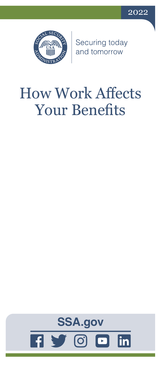



Securing today<br>and tomorrow

# How Work Affects Your Benefits

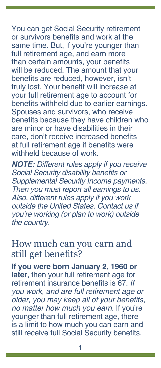You can get Social Security retirement or survivors benefits and work at the same time. But, if you're younger than full retirement age, and earn more than certain amounts, your benefits will be reduced. The amount that your benefits are reduced, however, isn't truly lost. Your benefit will increase at your full retirement age to account for benefits withheld due to earlier earnings. Spouses and survivors, who receive benefits because they have children who are minor or have disabilities in their care, don't receive increased benefits at full retirement age if benefits were withheld because of work

*NOTE: Different rules apply if you receive*  Social Security disability benefits or *Supplemental Security Income payments. Then you must report all earnings to us. Also, different rules apply if you work outside the United States. Contact us if you're working (or plan to work) outside the country.*

#### How much can you earn and still get benefits?

**If you were born January 2, 1960 or later**, then your full retirement age for retirement insurance benefits is 67. *If you work, and are full retirement age or*  older, you may keep all of your benefits, *no matter how much you earn*. If you're younger than full retirement age, there is a limit to how much you can earn and still receive full Social Security benefits.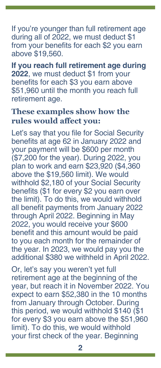If you're younger than full retirement age during all of 2022, we must deduct \$1 from your benefits for each \$2 you earn above \$19,560.

**If you reach full retirement age during 2022**, we must deduct \$1 from your benefits for each \$3 you earn above \$51,960 until the month you reach full retirement age.

#### **These examples show how the rules would affect you:**

Let's say that you file for Social Security benefits at age 62 in January 2022 and your payment will be \$600 per month (\$7,200 for the year). During 2022, you plan to work and earn \$23,920 (\$4,360 above the \$19,560 limit). We would withhold \$2,180 of your Social Security benefits (\$1 for every \$2 you earn over the limit). To do this, we would withhold all benefit payments from January 2022 through April 2022. Beginning in May 2022, you would receive your \$600 benefit and this amount would be paid to you each month for the remainder of the year. In 2023, we would pay you the additional \$380 we withheld in April 2022.

Or, let's say you weren't yet full retirement age at the beginning of the year, but reach it in November 2022. You expect to earn \$52,380 in the 10 months from January through October. During this period, we would withhold \$140 (\$1 for every \$3 you earn above the \$51,960 limit). To do this, we would withhold your first check of the year. Beginning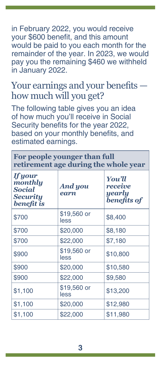in February 2022, you would receive your \$600 benefit, and this amount would be paid to you each month for the remainder of the year. In 2023, we would pay you the remaining \$460 we withheld in January 2022.

# Your earnings and your benefits how much will you get?

The following table gives you an idea of how much you'll receive in Social Security benefits for the year 2022, based on your monthly benefits, and estimated earnings.

#### **For people younger than full retirement age during the whole year**

| <b>If your</b><br>monthly<br><b>Social</b><br><b>Security</b><br>benefit is | And you<br>earn     | You'll<br><i>receive</i><br>yearly<br><b>benefits of</b> |
|-----------------------------------------------------------------------------|---------------------|----------------------------------------------------------|
| \$700                                                                       | \$19,560 or<br>less | \$8,400                                                  |
| \$700                                                                       | \$20,000            | \$8,180                                                  |
| \$700                                                                       | \$22,000            | \$7,180                                                  |
| \$900                                                                       | \$19,560 or<br>less | \$10,800                                                 |
| \$900                                                                       | \$20,000            | \$10,580                                                 |
| \$900                                                                       | \$22,000            | \$9,580                                                  |
| \$1,100                                                                     | \$19,560 or<br>less | \$13,200                                                 |
| \$1,100                                                                     | \$20,000            | \$12,980                                                 |
| \$1,100                                                                     | \$22,000            | \$11,980                                                 |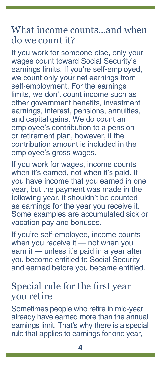#### What income counts…and when do we count it?

If you work for someone else, only your wages count toward Social Security's earnings limits. If you're self-employed, we count only your net earnings from self-employment. For the earnings limits, we don't count income such as other government benefits, investment earnings, interest, pensions, annuities, and capital gains. We do count an employee's contribution to a pension or retirement plan, however, if the contribution amount is included in the employee's gross wages.

If you work for wages, income counts when it's earned, not when it's paid. If you have income that you earned in one year, but the payment was made in the following year, it shouldn't be counted as earnings for the year you receive it. Some examples are accumulated sick or vacation pay and bonuses.

If you're self-employed, income counts when you receive it — not when you earn it — unless it's paid in a year after you become entitled to Social Security and earned before you became entitled.

#### Special rule for the first year you retire

Sometimes people who retire in mid-year already have earned more than the annual earnings limit. That's why there is a special rule that applies to earnings for one year,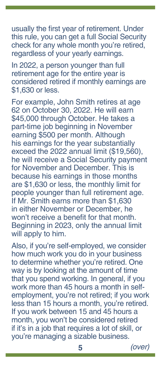usually the first year of retirement. Under this rule, you can get a full Social Security check for any whole month you're retired, regardless of your yearly earnings.

In 2022, a person younger than full retirement age for the entire year is considered retired if monthly earnings are \$1,630 or less.

For example, John Smith retires at age 62 on October 30, 2022. He will earn \$45,000 through October. He takes a part-time job beginning in November earning \$500 per month. Although his earnings for the year substantially exceed the 2022 annual limit (\$19,560), he will receive a Social Security payment for November and December. This is because his earnings in those months are \$1,630 or less, the monthly limit for people younger than full retirement age. If Mr. Smith earns more than \$1,630 in either November or December, he won't receive a benefit for that month. Beginning in 2023, only the annual limit will apply to him.

Also, if you're self-employed, we consider how much work you do in your business to determine whether you're retired. One way is by looking at the amount of time that you spend working. In general, if you work more than 45 hours a month in selfemployment, you're not retired; if you work less than 15 hours a month, you're retired. If you work between 15 and 45 hours a month, you won't be considered retired if it's in a job that requires a lot of skill, or you're managing a sizable business.

**5** *(over)*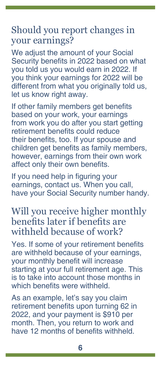## Should you report changes in your earnings?

We adjust the amount of your Social Security benefits in 2022 based on what you told us you would earn in 2022. If you think your earnings for 2022 will be different from what you originally told us, let us know right away.

If other family members get benefits based on your work, your earnings from work you do after you start getting retirement benefits could reduce their benefits, too. If your spouse and children get benefits as family members, however, earnings from their own work affect only their own benefits.

If you need help in figuring your earnings, contact us. When you call, have your Social Security number handy.

#### Will you receive higher monthly benefits later if benefits are withheld because of work?

Yes. If some of your retirement benefits are withheld because of your earnings, your monthly benefit will increase starting at your full retirement age. This is to take into account those months in which benefits were withheld.

As an example, let's say you claim retirement benefits upon turning 62 in 2022, and your payment is \$910 per month. Then, you return to work and have 12 months of benefits withheld.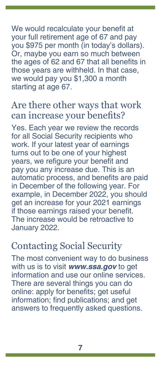We would recalculate your benefit at your full retirement age of 67 and pay you \$975 per month (in today's dollars). Or, maybe you earn so much between the ages of 62 and 67 that all benefits in those years are withheld. In that case, we would pay you \$1,300 a month starting at age 67.

#### Are there other ways that work can increase your benefits?

Yes. Each year we review the records for all Social Security recipients who work. If your latest year of earnings turns out to be one of your highest years, we refigure your benefit and pay you any increase due. This is an automatic process, and benefits are paid in December of the following year. For example, in December 2022, you should get an increase for your 2021 earnings if those earnings raised your benefit. The increase would be retroactive to January 2022.

## Contacting Social Security

The most convenient way to do business with us is to visit *[www.ssa.gov](https://www.ssa.gov)* to get information and use our online services. There are several things you can do online: apply for benefits; get useful information; find [publications](https://www.ssa.gov/pubs); and get answers to [frequently asked questions](https://faq.ssa.gov/en-US).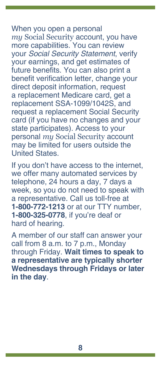When you open a personal *my* [Social Security](https://www.ssa.gov/myaccount) account, you have more capabilities. You can review your *Social Security Statement*, verify your earnings, and get estimates of future benefits. You can also print a benefit verification letter, change your direct deposit information, request a replacement Medicare card, get a replacement SSA-1099/1042S, and request a replacement Social Security card (if you have no changes and your state participates). Access to your personal *my* Social Security account may be limited for users outside the United States.

If you don't have access to the internet, we offer many automated services by telephone, 24 hours a day, 7 days a week, so you do not need to speak with a representative. Call us toll-free at **1-800-772-1213** or at our TTY number, **1-800-325-0778**, if you're deaf or hard of hearing.

A member of our staff can answer your call from 8 a.m. to 7 p.m., Monday through Friday. **Wait times to speak to a representative are typically shorter Wednesdays through Fridays or later in the day**.